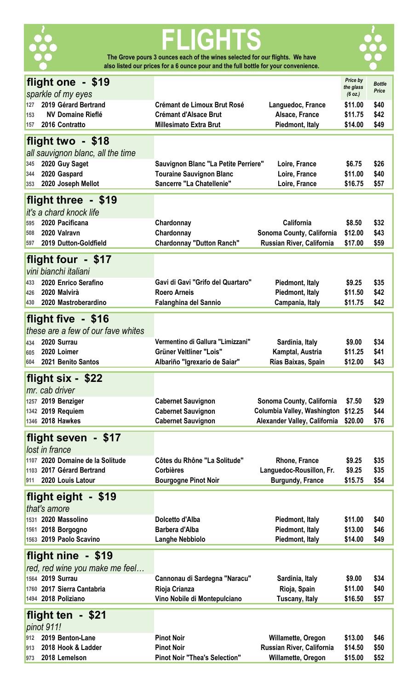

# **FLIGHTS The Grove pours 3 ounces each of the wines selected for our flights. We have**

**also listed our prices for a 6 ounce pour and the full bottle for your convenience.** 



| flight one - \$19                      |                                                        |                                                             | Price by             | <b>Bottle</b> |
|----------------------------------------|--------------------------------------------------------|-------------------------------------------------------------|----------------------|---------------|
| sparkle of my eyes                     |                                                        |                                                             | the glass<br>(6 oz.) | Price         |
| 2019 Gérard Bertrand<br>127            | <b>Crémant de Limoux Brut Rosé</b>                     | Languedoc, France                                           | \$11.00              | \$40          |
| <b>NV Domaine Rieflé</b><br>153        | <b>Crémant d'Alsace Brut</b>                           | Alsace, France                                              | \$11.75              | \$42          |
| 2016 Contratto<br>157                  | <b>Millesimato Extra Brut</b>                          | Piedmont, Italy                                             | \$14.00              | \$49          |
| flight two - \$18                      |                                                        |                                                             |                      |               |
| all sauvignon blanc, all the time      |                                                        |                                                             |                      |               |
| 2020 Guy Saget<br>345                  | Sauvignon Blanc "La Petite Perriere"                   | Loire, France                                               | \$6.75               | \$26          |
| 2020 Gaspard<br>344                    | <b>Touraine Sauvignon Blanc</b>                        | Loire, France                                               | \$11.00              | \$40          |
| 2020 Joseph Mellot<br>353              | Sancerre "La Chatellenie"                              | Loire, France                                               | \$16.75              | \$57          |
|                                        |                                                        |                                                             |                      |               |
| flight three - \$19                    |                                                        |                                                             |                      |               |
| it's a chard knock life                |                                                        |                                                             |                      |               |
| 2020 Pacificana<br>595<br>2020 Valravn | Chardonnay                                             | California                                                  | \$8.50               | \$32          |
| 508<br>2019 Dutton-Goldfield<br>597    | Chardonnay<br><b>Chardonnay "Dutton Ranch"</b>         | Sonoma County, California<br>Russian River, California      | \$12.00<br>\$17.00   | \$43<br>\$59  |
|                                        |                                                        |                                                             |                      |               |
| flight four - \$17                     |                                                        |                                                             |                      |               |
| vini bianchi italiani                  |                                                        |                                                             |                      |               |
| 2020 Enrico Serafino<br>433            | Gavi di Gavi "Grifo del Quartaro"                      | Piedmont, Italy                                             | \$9.25               | \$35          |
| 2020 Malvirà<br>426                    | <b>Roero Arneis</b>                                    | Piedmont, Italy                                             | \$11.50              | \$42          |
| 2020 Mastroberardino<br>430            | <b>Falanghina del Sannio</b>                           | Campania, Italy                                             | \$11.75              | \$42          |
| flight five - \$16                     |                                                        |                                                             |                      |               |
| these are a few of our fave whites     |                                                        |                                                             |                      |               |
| 2020 Surrau<br>434                     | Vermentino di Gallura "Limizzani"                      | Sardinia, Italy                                             | \$9.00               | \$34          |
| 2020 Loimer<br>605                     | <b>Grüner Veltliner "Lois"</b>                         | Kamptal, Austria                                            | \$11.25              | \$41          |
| 2021 Benito Santos<br>604              | Albariño "Igrexario de Saiar"                          | Rías Baixas, Spain                                          | \$12.00              | \$43          |
|                                        |                                                        |                                                             |                      |               |
|                                        |                                                        |                                                             |                      |               |
| flight six - \$22                      |                                                        |                                                             |                      |               |
| mr. cab driver                         |                                                        |                                                             |                      |               |
| 1257 2019 Benziger                     | <b>Cabernet Sauvignon</b>                              | Sonoma County, California                                   | \$7.50               | \$29          |
| 1342 2019 Requiem<br>1346 2018 Hawkes  | <b>Cabernet Sauvignon</b><br><b>Cabernet Sauvignon</b> | Columbia Valley, Washington<br>Alexander Valley, California | \$12.25<br>\$20.00   | \$44<br>\$76  |
|                                        |                                                        |                                                             |                      |               |
| flight seven - \$17                    |                                                        |                                                             |                      |               |
| lost in france                         |                                                        |                                                             |                      |               |
| 1107 2020 Domaine de la Solitude       | Côtes du Rhône "La Solitude"                           | <b>Rhone, France</b>                                        | \$9.25               | \$35          |
| 1103 2017 Gérard Bertrand<br>911       | <b>Corbières</b>                                       | Languedoc-Rousillon, Fr.                                    | \$9.25               | \$35          |
| 2020 Louis Latour                      | <b>Bourgogne Pinot Noir</b>                            | <b>Burgundy, France</b>                                     | \$15.75              | \$54          |
| flight eight - \$19                    |                                                        |                                                             |                      |               |
| that's amore                           |                                                        |                                                             |                      |               |
| 1531 2020 Massolino                    | Dolcetto d'Alba                                        | Piedmont, Italy                                             | \$11.00              | \$40          |
| 1561 2018 Borgogno                     | <b>Barbera d'Alba</b>                                  | Piedmont, Italy                                             | \$13.00              | \$46          |
| 1563 2019 Paolo Scavino                | <b>Langhe Nebbiolo</b>                                 | Piedmont, Italy                                             | \$14.00              | \$49          |
| flight nine - \$19                     |                                                        |                                                             |                      |               |
| red, red wine you make me feel         |                                                        |                                                             |                      |               |
| 1564 2019 Surrau                       | Cannonau di Sardegna "Naracu"                          | Sardinia, Italy                                             | \$9.00               | \$34          |
| 1760 2017 Sierra Cantabria             | Rioja Crianza                                          | Rioja, Spain                                                | \$11.00              | \$40          |
| 1494 2018 Poliziano                    | Vino Nobile di Montepulciano                           | <b>Tuscany, Italy</b>                                       | \$16.50              | \$57          |
|                                        |                                                        |                                                             |                      |               |
| flight ten - \$21                      |                                                        |                                                             |                      |               |
| pinot 911!<br>2019 Benton-Lane<br>912  | <b>Pinot Noir</b>                                      | Willamette, Oregon                                          | \$13.00              | \$46          |
| 2018 Hook & Ladder<br>913              | <b>Pinot Noir</b>                                      | Russian River, California                                   | \$14.50              | \$50          |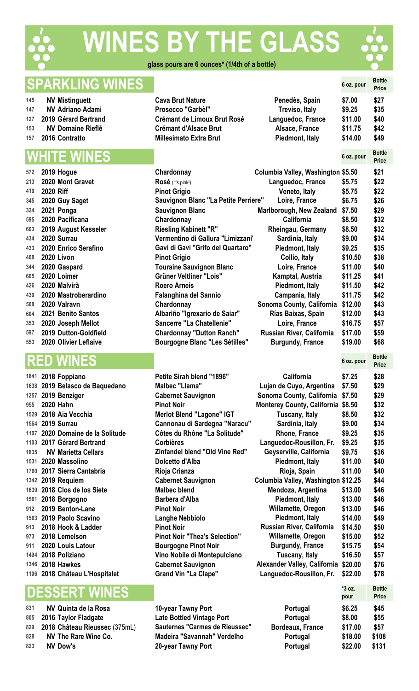

# **IES BY THE GLASS**



#### **glass pours are 6 ounces\* (1/4th of a bottle)**

### **SPARKLING WINES 6 oz. pour Bottle**

- **NV** Mistinguett **Cavaria Brut Cavaria Brut Nature Cavaria Brut Nature Peneder**
- **NV Adriano Adami Prosecco "Garbèl" Treviso, Italy \$9.25 \$35**
- **127 2019 Gérard Bertrand 61.000 Cré**
- **NV** Domaine Rieflé **153 Cré**
- **2016 Contratto Millesimato Extra Brut Piedmont, Italy \$14.00 \$49**

### **WHITE WINES 6 oz. pour Bottle**

| 572 |                  | 2019 Hogue            | Chardonnay                            | Columbia Valley, Washington \$5.50 |         | \$21 |
|-----|------------------|-----------------------|---------------------------------------|------------------------------------|---------|------|
| 213 |                  | 2020 Mont Gravet      | Rosé (it's pink!)                     | Languedoc, France                  | \$5.75  | \$22 |
| 410 | <b>2020 Riff</b> |                       | <b>Pinot Grigio</b>                   | Veneto, Italy                      | \$5.75  | \$22 |
| 345 |                  | 2020 Guy Saget        | Sauvignon Blanc "La Petite Perriere"  | Loire, France                      | \$6.75  | \$26 |
| 324 |                  | 2021 Ponga            | <b>Sauvignon Blanc</b>                | <b>Marlborough, New Zealand</b>    | \$7.50  | \$29 |
| 595 |                  | 2020 Pacificana       | Chardonnay                            | California                         | \$8.50  | \$32 |
| 603 |                  | 2019 August Kesseler  | <b>Riesling Kabinett "R"</b>          | <b>Rheingau, Germany</b>           | \$8.50  | \$32 |
| 434 |                  | 2020 Surrau           | Vermentino di Gallura "Limizzani"     | Sardinia, Italy                    | \$9.00  | \$34 |
| 433 |                  | 2020 Enrico Serafino  | Gavi di Gavi "Grifo del Quartaro"     | Piedmont, Italy                    | \$9.25  | \$35 |
| 408 |                  | <b>2020 Livon</b>     | <b>Pinot Grigio</b>                   | Collio, Italy                      | \$10.50 | \$38 |
| 344 |                  | 2020 Gaspard          | <b>Touraine Sauvignon Blanc</b>       | Loire, France                      | \$11.00 | \$40 |
| 605 |                  | 2020 Loimer           | Grüner Veltliner "Lois"               | Kamptal, Austria                   | \$11.25 | \$41 |
| 426 |                  | 2020 Malvirà          | <b>Roero Arneis</b>                   | Piedmont, Italy                    | \$11.50 | \$42 |
| 430 |                  | 2020 Mastroberardino  | Falanghina del Sannio                 | Campania, Italy                    | \$11.75 | \$42 |
| 508 |                  | 2020 Valravn          | Chardonnay                            | Sonoma County, California          | \$12.00 | \$43 |
| 604 |                  | 2021 Benito Santos    | Albariño "Igrexario de Saiar"         | Rías Baixas, Spain                 | \$12.00 | \$43 |
| 353 |                  | 2020 Joseph Mellot    | Sancerre "La Chatellenie"             | Loire, France                      | \$16.75 | \$57 |
| 597 |                  | 2019 Dutton-Goldfield | <b>Chardonnay "Dutton Ranch"</b>      | Russian River, California          | \$17.00 | \$59 |
| 553 |                  | 2020 Olivier Leflaive | <b>Bourgogne Blanc "Les Sétilles"</b> | <b>Burgundy, France</b>            | \$19.00 | \$68 |

# **RED WINES 6 oz. pour Bottle**

### **DESSERT WINES**  $\begin{bmatrix} \begin{matrix} 3 & 0 \\ 3 & 0 \end{matrix} \end{bmatrix}$

|     | 831 NV Quinta de la Rosa          | 10-year Tawny Port               |
|-----|-----------------------------------|----------------------------------|
|     | 805 2016 Taylor Fladgate          | <b>Late Bottled Vintage Port</b> |
|     | 829 2018 Château Rieussec (375mL) | Sauternes "Carmes de Rieussec"   |
| 828 | NV The Rare Wine Co.              | Madeira "Savannah" Verdelho      |
| 823 | NV Dow's                          | 20-year Tawny Port               |

|                          |                   | 6 oz. pour | <b>Price</b> |
|--------------------------|-------------------|------------|--------------|
| va Brut Nature           | Penedès, Spain    | \$7.00     | \$27         |
| ›secco "Garbèl"          | Treviso, Italy    | \$9.25     | \$35         |
| mant de Limoux Brut Rosé | Languedoc, France | \$11.00    | \$40         |
| mant d'Alsace Brut       | Alsace, France    | \$11.75    | \$42         |
| lesimato Extra Brut      | Piedmont, Italy   | \$14.00    | \$49         |
|                          |                   |            |              |

**Price**

**Price**

| .   | <b>LUIU IIUYUU</b>        | <b>VIIUL YVIIIUV</b>                        | <b>Polanda Fancy, Fraonington WO.00</b> |         | YL 1 |
|-----|---------------------------|---------------------------------------------|-----------------------------------------|---------|------|
| 213 | 2020 Mont Gravet          | Rosé (it's pink!)                           | Languedoc, France                       | \$5.75  | \$22 |
| 410 | <b>2020 Riff</b>          | <b>Pinot Grigio</b>                         | Veneto, Italy                           | \$5.75  | \$22 |
|     | 345 2020 Guy Saget        | <b>Sauvignon Blanc "La Petite Perriere"</b> | Loire, France                           | \$6.75  | \$26 |
|     | 324 2021 Ponga            | <b>Sauvignon Blanc</b>                      | Marlborough, New Zealand                | \$7.50  | \$29 |
|     | 595 2020 Pacificana       | Chardonnay                                  | California                              | \$8.50  | \$32 |
|     | 603 2019 August Kesseler  | <b>Riesling Kabinett "R"</b>                | Rheingau, Germany                       | \$8.50  | \$32 |
|     | 434 2020 Surrau           | Vermentino di Gallura "Limizzani"           | Sardinia, Italy                         | \$9.00  | \$34 |
|     | 433 2020 Enrico Serafino  | Gavi di Gavi "Grifo del Quartaro"           | Piedmont, Italy                         | \$9.25  | \$35 |
| 408 | <b>2020 Livon</b>         | <b>Pinot Grigio</b>                         | Collio, Italy                           | \$10.50 | \$38 |
|     | 344 2020 Gaspard          | <b>Touraine Sauvignon Blanc</b>             | Loire, France                           | \$11.00 | \$40 |
| 605 | 2020 Loimer               | Grüner Veltliner "Lois"                     | Kamptal, Austria                        | \$11.25 | \$41 |
|     | 426 2020 Malvirà          | <b>Roero Arneis</b>                         | Piedmont, Italy                         | \$11.50 | \$42 |
|     | 430 2020 Mastroberardino  | <b>Falanghina del Sannio</b>                | Campania, Italy                         | \$11.75 | \$42 |
|     | 508 2020 Valravn          | Chardonnay                                  | Sonoma County, California               | \$12.00 | \$43 |
|     | 604 2021 Benito Santos    | Albariño "Igrexario de Saiar"               | Rías Baixas, Spain                      | \$12.00 | \$43 |
|     | 353 2020 Joseph Mellot    | <b>Sancerre "La Chatellenie"</b>            | Loire, France                           | \$16.75 | \$57 |
|     | 597 2019 Dutton-Goldfield | <b>Chardonnay "Dutton Ranch"</b>            | Russian River, California               | \$17.00 | \$59 |
|     | 553 2020 Olivier Leflaive | <b>Bourgogne Blanc "Les Sétilles"</b>       | <b>Burgundy, France</b>                 | \$19.00 | \$68 |
|     |                           |                                             |                                         |         |      |

 **83 8.34 8.35 8.35 8.35 8.35 8.35 8.35 8.35 8.35 8.35 8.35 8.35 8.35 8.35 8.35 Late Bottled Vintage Port** 

**20-year Tawny Port** 

|      | 1841 2018 Foppiano               | Petite Sirah blend "1896"            | California                          | \$7.25  | \$28 |
|------|----------------------------------|--------------------------------------|-------------------------------------|---------|------|
|      | 1638 2019 Belasco de Baquedano   | Malbec "Llama"                       | Lujan de Cuyo, Argentina            | \$7.50  | \$29 |
|      | 1257 2019 Benziger               | <b>Cabernet Sauvignon</b>            | Sonoma County, California           | \$7.50  | \$29 |
| 955  | 2020 Hahn                        | <b>Pinot Noir</b>                    | <b>Monterey County, California</b>  | \$8.50  | \$32 |
|      | 1529 2018 Aia Vecchia            | <b>Merlot Blend "Lagone" IGT</b>     | Tuscany, Italy                      | \$8.50  | \$32 |
|      | 1564 2019 Surrau                 | Cannonau di Sardegna "Naracu"        | Sardinia, Italy                     | \$9.00  | \$34 |
|      | 1107 2020 Domaine de la Solitude | Côtes du Rhône "La Solitude"         | Rhone, France                       | \$9.25  | \$35 |
|      | 1103 2017 Gérard Bertrand        | <b>Corbières</b>                     | Languedoc-Rousillon, Fr.            | \$9.25  | \$35 |
| 1835 | <b>NV Marietta Cellars</b>       | Zinfandel blend "Old Vine Red"       | Geyserville, California             | \$9.75  | \$36 |
|      | 1531 2020 Massolino              | Dolcetto d'Alba                      | Piedmont, Italy                     | \$11.00 | \$40 |
|      | 1760 2017 Sierra Cantabria       | Rioja Crianza                        | Rioja, Spain                        | \$11.00 | \$40 |
|      | 1342 2019 Requiem                | <b>Cabernet Sauvignon</b>            | Columbia Valley, Washington \$12.25 |         | \$44 |
|      | 1639 2018 Clos de los Siete      | <b>Malbec blend</b>                  | Mendoza, Argentina                  | \$13.00 | \$46 |
|      | 1561 2018 Borgogno               | Barbera d'Alba                       | Piedmont, Italy                     | \$13.00 | \$46 |
| 912  | 2019 Benton-Lane                 | <b>Pinot Noir</b>                    | Willamette, Oregon                  | \$13.00 | \$46 |
|      | 1563 2019 Paolo Scavino          | Langhe Nebbiolo                      | Piedmont, Italy                     | \$14.00 | \$49 |
| 913  | 2018 Hook & Ladder               | <b>Pinot Noir</b>                    | Russian River, California           | \$14.50 | \$50 |
| 973  | 2018 Lemelson                    | <b>Pinot Noir "Thea's Selection"</b> | Willamette, Oregon                  | \$15.00 | \$52 |
| 911  | 2020 Louis Latour                | <b>Bourgogne Pinot Noir</b>          | <b>Burgundy, France</b>             | \$15.75 | \$54 |
|      | 1494 2018 Poliziano              | Vino Nobile di Montepulciano         | Tuscany, Italy                      | \$16.50 | \$57 |
|      | 1346 2018 Hawkes                 | <b>Cabernet Sauvignon</b>            | Alexander Valley, California        | \$20.00 | \$76 |
|      | 1106 2018 Château I 'Hosnitalet  | Grand Vin "La Clane"                 | Languedoc-Rousillon, Fr.            | \$22.00 | \$78 |

|                         | $*3$ oz.<br>pour | <b>Bottle</b><br><b>Price</b> |
|-------------------------|------------------|-------------------------------|
| Portugal                | \$6.25           | \$45                          |
| Portugal                | \$8.00           | \$55                          |
| <b>Bordeaux, France</b> | \$17.00          | \$57                          |
| Portugal                | \$18.00          | \$108                         |
| Portugal                | \$22.00          | \$131                         |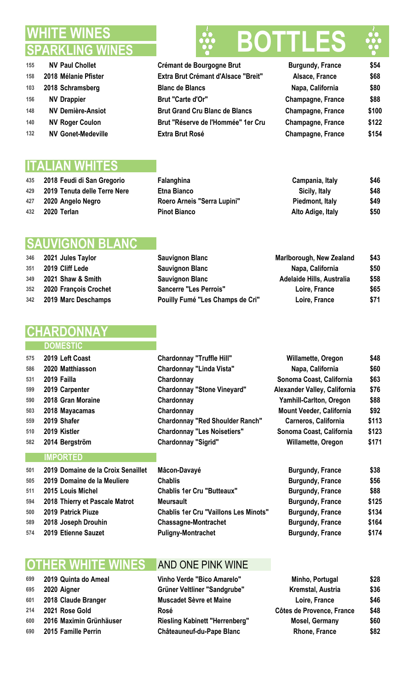### **WHITE WINES SPARKLING**

- **NV Paul Chollet 155 Crémant de Bourgogne Brut 2018 Mélanie Pfister Extra Brut Crémant d'Alsace "Breit" Alsace, France \$68 2018 Schramsberg Blanc de Blancs NV Drappier Brut "Carte d'Or" NV Demière-Ansiot Brut Grand Cru Blanc de Blancs Champagne, France \$100**
- 140 NV Roger Coulon **Brut "Réserve de l'Hommée" 1er Cru**
- **NV Gonet-Medeville Extra Brut Rosé**

### **ITALIAN WHITES**

- **2018 Feudi di San Gregorio Falanghina Campania, Italy \$46**
- **2019 Tenuta delle Terre Nere Etna Bianco Sicily, Italy \$48**
- **2020 Angelo Negro Roero Arneis "Serra Lupini" Piedmont, Italy \$49**
- 

### **SAUVIGNON BLANC**

- **2021 Jules Taylor Sauvignon Blanc**
- **2019 Cliff Lede** Sauvignon Blanc
- **2021 Shaw & Smith Sauvignon Blanc**
- **2020 François Crochet Sancerre "Les Perrois" Loire, France \$65 2019 Marc Deschamps Pouilly Fumé "Les Champs de Cri" Loire, France \$71**

### **HARDO**

### **DOMESTIC**

| 575 | 2019 Left Coast                    | <b>Chardonnay "Truffle Hill"</b>             | Willamette, Oregon              | \$48  |
|-----|------------------------------------|----------------------------------------------|---------------------------------|-------|
| 586 | 2020 Matthiasson                   | <b>Chardonnay "Linda Vista"</b>              | Napa, California                | \$60  |
| 531 | 2019 Failla                        | Chardonnay                                   | Sonoma Coast, California        | \$63  |
| 599 | 2019 Carpenter                     | <b>Chardonnay "Stone Vineyard"</b>           | Alexander Valley, California    | \$76  |
| 590 | 2018 Gran Moraine                  | Chardonnay                                   | Yamhill-Carlton, Oregon         | \$88  |
| 503 | 2018 Mayacamas                     | Chardonnay                                   | <b>Mount Veeder, California</b> | \$92  |
| 559 | 2019 Shafer                        | <b>Chardonnay "Red Shoulder Ranch"</b>       | Carneros, California            | \$113 |
| 510 | 2019 Kistler                       | <b>Chardonnay "Les Noisetiers"</b>           | Sonoma Coast, California        | \$123 |
| 582 | 2014 Bergström                     | <b>Chardonnay "Sigrid"</b>                   | Willamette, Oregon              | \$171 |
|     | <b>IMPORTED</b>                    |                                              |                                 |       |
| 501 | 2019 Domaine de la Croix Senaillet | Mâcon-Davayé                                 | <b>Burgundy, France</b>         | \$38  |
| 505 | 2019 Domaine de la Meuliere        | <b>Chablis</b>                               | <b>Burgundy, France</b>         | \$56  |
| 511 | 2015 Louis Michel                  | <b>Chablis 1er Cru "Butteaux"</b>            | <b>Burgundy, France</b>         | \$88  |
| 594 | 2018 Thierry et Pascale Matrot     | <b>Meursault</b>                             | <b>Burgundy, France</b>         | \$125 |
| 500 | 2019 Patrick Piuze                 | <b>Chablis 1er Cru "Vaillons Les Minots"</b> | <b>Burgundy, France</b>         | \$134 |

- 
- 
- 

### **OTHER WHITE WINES** AND ONE PINK WINE

### **2019 Quinta do Ameal Vinho Verde "Bico Amarelo" Minho, Portugal \$28 2018 Claude Branger 1866 Muscadet 2021 Rose Gold Rosé Côtes de Provence, France \$48 2016** Maximin Grünhäuser Riesling Kabinet

# **BO**

| <b>Burgundy, France</b>  | \$54  |
|--------------------------|-------|
| Alsace, France           | \$68  |
| Napa, California         | \$80  |
| <b>Champagne, France</b> | \$88  |
| <b>Champagne, France</b> | \$100 |
| <b>Champagne, France</b> | \$122 |
| Champagne, France        | \$154 |

| 435 | 2018 Feudi di San Gregorio   | Falanghina                  | Campania, Italy   | \$46 |
|-----|------------------------------|-----------------------------|-------------------|------|
| 429 | 2019 Tenuta delle Terre Nere | <b>Etna Bianco</b>          | Sicily, Italy     | \$48 |
| 427 | 2020 Angelo Negro            | Roero Arneis "Serra Lupini" | Piedmont, Italy   | \$49 |
| 432 | 2020 Terlan                  | <b>Pinot Bianco</b>         | Alto Adige, Italy | \$50 |

| Marlborough, New Zealand         | \$43 |
|----------------------------------|------|
| Napa, California                 | \$50 |
| <b>Adelaide Hills, Australia</b> | \$58 |
| Loire, France                    | \$65 |
| i"<br>Loire, France              | \$71 |

| 510 | 2019 Kistler                       | <b>Chardonnay "Les Noisetiers"</b>           | Sonoma Coast, California | \$123 |
|-----|------------------------------------|----------------------------------------------|--------------------------|-------|
| 582 | 2014 Bergström                     | <b>Chardonnay "Sigrid"</b>                   | Willamette, Oregon       | \$171 |
|     | <b>IMPORTED</b>                    |                                              |                          |       |
| 501 | 2019 Domaine de la Croix Senaillet | Mâcon-Davayé                                 | <b>Burgundy, France</b>  | \$38  |
| 505 | 2019 Domaine de la Meuliere        | <b>Chablis</b>                               | <b>Burgundy, France</b>  | \$56  |
| 511 | 2015 Louis Michel                  | <b>Chablis 1er Cru "Butteaux"</b>            | <b>Burgundy, France</b>  | \$88  |
| 594 | 2018 Thierry et Pascale Matrot     | <b>Meursault</b>                             | <b>Burgundy, France</b>  | \$125 |
| 500 | 2019 Patrick Piuze                 | <b>Chablis 1er Cru "Vaillons Les Minots"</b> | <b>Burgundy, France</b>  | \$134 |
| 589 | 2018 Joseph Drouhin                | <b>Chassagne-Montrachet</b>                  | <b>Burgundy, France</b>  | \$164 |
| 574 | 2019 Etienne Sauzet                | <b>Puligny-Montrachet</b>                    | <b>Burgundy, France</b>  | \$174 |

| 699 | 2019 Quinta do Ameal    | Vinho Verde "Bico Amarelo"            | Minho, Portugal           | \$28 |
|-----|-------------------------|---------------------------------------|---------------------------|------|
| 695 | 2020 Aigner             | Grüner Veltliner "Sandgrube"          | Kremstal, Austria         | \$36 |
| 601 | 2018 Claude Branger     | Muscadet Sèvre et Maine               | Loire, France             | \$46 |
| 214 | 2021 Rose Gold          | Rosé                                  | Côtes de Provence, France | \$48 |
| 600 | 2016 Maximin Grünhäuser | <b>Riesling Kabinett "Herrenberg"</b> | Mosel, Germany            | \$60 |
| 690 | 2015 Famille Perrin     | <b>Châteauneuf-du-Pape Blanc</b>      | Rhone, France             | \$82 |
|     |                         |                                       |                           |      |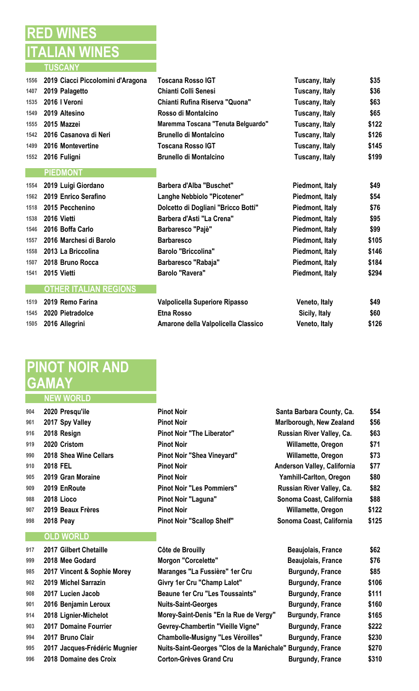### **RED WINES ITALIAN WINES TUSCANY**

| 1556 | 2019 Ciacci Piccolomini d'Aragona | <b>Toscana Rosso IGT</b>            | Tuscany, Italy  | \$35  |
|------|-----------------------------------|-------------------------------------|-----------------|-------|
| 1407 | 2019 Palagetto                    | <b>Chianti Colli Senesi</b>         | Tuscany, Italy  | \$36  |
| 1535 | 2016 I Veroni                     | Chianti Rufina Riserva "Quona"      | Tuscany, Italy  | \$63  |
| 1549 | 2019 Altesino                     | Rosso di Montalcino                 | Tuscany, Italy  | \$65  |
| 1555 | 2015 Mazzei                       | Maremma Toscana "Tenuta Belguardo"  | Tuscany, Italy  | \$122 |
| 1542 | 2016 Casanova di Neri             | <b>Brunello di Montalcino</b>       | Tuscany, Italy  | \$126 |
| 1499 | 2016 Montevertine                 | <b>Toscana Rosso IGT</b>            | Tuscany, Italy  | \$145 |
| 1552 | 2016 Fuligni                      | <b>Brunello di Montalcino</b>       | Tuscany, Italy  | \$199 |
|      | <b>PIEDMONT</b>                   |                                     |                 |       |
| 1554 | 2019 Luigi Giordano               | <b>Barbera d'Alba "Buschet"</b>     | Piedmont, Italy | \$49  |
| 1562 | 2019 Enrico Serafino              | Langhe Nebbiolo "Picotener"         | Piedmont, Italy | \$54  |
| 1518 | 2015 Pecchenino                   | Dolcetto di Dogliani "Bricco Botti" | Piedmont, Italy | \$76  |
| 1538 | 2016 Vietti                       | <b>Barbera d'Asti "La Crena"</b>    | Piedmont, Italy | \$95  |
| 1546 | 2016 Boffa Carlo                  | Barbaresco "Pajè"                   | Piedmont, Italy | \$99  |
| 1557 | 2016 Marchesi di Barolo           | <b>Barbaresco</b>                   | Piedmont, Italy | \$105 |
| 1558 | 2013 La Briccolina                | <b>Barolo "Briccolina"</b>          | Piedmont, Italy | \$146 |
| 1507 | 2018 Bruno Rocca                  | Barbaresco "Rabaja"                 | Piedmont, Italy | \$184 |
| 1541 | 2015 Vietti                       | <b>Barolo "Ravera"</b>              | Piedmont, Italy | \$294 |
|      | <b>OTHER ITALIAN REGIONS</b>      |                                     |                 |       |
| 1519 | 2019 Remo Farina                  | Valpolicella Superiore Ripasso      | Veneto, Italy   | \$49  |
| 1545 | 2020 Pietradolce                  | <b>Etna Rosso</b>                   | Sicily, Italy   | \$60  |
| 1505 | 2016 Allegrini                    | Amarone della Valpolicella Classico | Veneto, Italy   | \$126 |
|      |                                   |                                     |                 |       |

## **PINOT NOIR AND GAMAY**

#### **NEW WORLD**

| 904 | 2020 Presqu'ile        |
|-----|------------------------|
| 961 | 2017 Spy Valley        |
| 916 | 2018 Resign            |
| 919 | 2020 Cristom           |
| 990 | 2018 Shea Wine Cellars |
| 910 | 2018 FEL               |
| 905 | 2019 Gran Moraine      |
| 909 | 2019 EnRoute           |
| 988 | 2018 Lioco             |
| 907 | 2019 Beaux Frères      |
| aax | 2018 Dagv              |

### **OLD WORLD**

| 917 | 2017 Gilbert Chetaille        | Côte de Brouilly                                            | Beaujolais, France      | \$62  |
|-----|-------------------------------|-------------------------------------------------------------|-------------------------|-------|
| 999 | 2018 Mee Godard               | <b>Morgon "Corcelette"</b>                                  | Beaujolais, France      | \$76  |
| 985 | 2017 Vincent & Sophie Morey   | Maranges "La Fussière" 1er Cru                              | <b>Burgundy, France</b> | \$85  |
| 902 | 2019 Michel Sarrazin          | Givry 1er Cru "Champ Lalot"                                 | <b>Burgundy, France</b> | \$106 |
| 908 | 2017 Lucien Jacob             | <b>Beaune 1er Cru "Les Toussaints"</b>                      | <b>Burgundy, France</b> | \$111 |
| 901 | 2016 Benjamin Leroux          | <b>Nuits-Saint-Georges</b>                                  | <b>Burgundy, France</b> | \$160 |
| 914 | 2018 Lignier-Michelot         | Morey-Saint-Denis "En la Rue de Vergy"                      | <b>Burgundy, France</b> | \$165 |
| 903 | 2017 Domaine Fourrier         | Gevrey-Chambertin "Vieille Vigne"                           | <b>Burgundy, France</b> | \$222 |
| 994 | 2017 Bruno Clair              | <b>Chambolle-Musigny "Les Véroilles"</b>                    | <b>Burgundy, France</b> | \$230 |
| 995 | 2017 Jacques-Frédéric Mugnier | Nuits-Saint-Georges "Clos de la Maréchale" Burgundy, France |                         | \$270 |
| 996 | 2018 Domaine des Croix        | <b>Corton-Grèves Grand Cru</b>                              | <b>Burgundy, France</b> | \$310 |

| 904 | 2020 Presqu'ile        | <b>Pinot Noir</b>                 | Santa Barbara County, Ca.   | \$54  |
|-----|------------------------|-----------------------------------|-----------------------------|-------|
| 961 | 2017 Spy Valley        | <b>Pinot Noir</b>                 | Marlborough, New Zealand    | \$56  |
| 916 | 2018 Resign            | <b>Pinot Noir "The Liberator"</b> | Russian River Valley, Ca.   | \$63  |
| 919 | 2020 Cristom           | <b>Pinot Noir</b>                 | Willamette, Oregon          | \$71  |
| 990 | 2018 Shea Wine Cellars | Pinot Noir "Shea Vineyard"        | Willamette, Oregon          | \$73  |
| 910 | 2018 FEL               | <b>Pinot Noir</b>                 | Anderson Valley, California | \$77  |
| 905 | 2019 Gran Moraine      | <b>Pinot Noir</b>                 | Yamhill-Carlton, Oregon     | \$80  |
| 909 | 2019 EnRoute           | <b>Pinot Noir "Les Pommiers"</b>  | Russian River Valley, Ca.   | \$82  |
| 988 | 2018 Lioco             | Pinot Noir "Laguna"               | Sonoma Coast, California    | \$88  |
| 907 | 2019 Beaux Frères      | <b>Pinot Noir</b>                 | <b>Willamette, Oregon</b>   | \$122 |
| 998 | <b>2018 Peay</b>       | <b>Pinot Noir "Scallop Shelf"</b> | Sonoma Coast, California    | \$125 |
|     |                        |                                   |                             |       |

| Beaujolais, France      | \$62  |
|-------------------------|-------|
| Beaujolais, France      | \$76  |
| <b>Burgundy, France</b> | \$85  |
| <b>Burgundy, France</b> | \$106 |
| <b>Burgundy, France</b> | \$111 |
| <b>Burgundy, France</b> | \$160 |
| <b>Burgundy, France</b> | \$165 |
| <b>Burgundy, France</b> | \$222 |
| <b>Burgundy, France</b> | \$230 |
| le" Burgundy, France    | \$270 |
| <b>Burgundy, France</b> | \$310 |
|                         |       |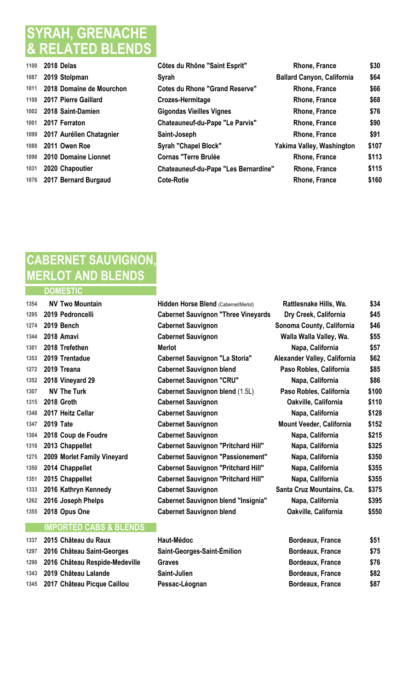### **SYRAH, GRENACHE & RELATED BLENDS**

| 1100 | 2018 Delas                | Côtes du Rhône "Saint Esprit"               | Rhone, France                     | \$30  |
|------|---------------------------|---------------------------------------------|-----------------------------------|-------|
| 1087 | 2019 Stolpman             | Syrah                                       | <b>Ballard Canyon, California</b> | \$64  |
| 1011 | 2018 Domaine de Mourchon  | <b>Cotes du Rhone "Grand Reserve"</b>       | <b>Rhone, France</b>              | \$66  |
| 1108 | 2017 Pierre Gaillard      | Crozes-Hermitage                            | Rhone, France                     | \$68  |
| 1002 | 2018 Saint-Damien         | <b>Gigondas Vieilles Vignes</b>             | <b>Rhone, France</b>              | \$76  |
| 1001 | 2017 Ferraton             | Chateauneuf-du-Pape "Le Parvis"             | <b>Rhone, France</b>              | \$90  |
| 1099 | 2017 Aurélien Chatagnier  | Saint-Joseph                                | Rhone, France                     | \$91  |
| 1088 | 2011 Owen Roe             | <b>Syrah "Chapel Block"</b>                 | Yakima Valley, Washington         | \$107 |
| 1098 | 2010 Domaine Lionnet      | <b>Cornas "Terre Brulée</b>                 | Rhone, France                     | \$113 |
| 1031 | 2020 Chapoutier           | <b>Chateauneuf-du-Pape "Les Bernardine"</b> | Rhone, France                     | \$115 |
|      | 1076 2017 Bernard Burgaud | <b>Cote-Rotie</b>                           | Rhone, France                     | \$160 |

### **CABERNET SAUVIGNON, MERLOT AND BLENDS DOMESTIC**

| 1354 | <b>NV Two Mountain</b>            | Hidden Horse Blend (Cabernet/Merlot)       | Rattlesnake Hills, Wa.       | \$34  |
|------|-----------------------------------|--------------------------------------------|------------------------------|-------|
| 1295 | 2019 Pedroncelli                  | <b>Cabernet Sauvignon "Three Vineyards</b> | Dry Creek, California        | \$45  |
| 1274 | 2019 Bench                        | <b>Cabernet Sauvignon</b>                  | Sonoma County, California    | \$46  |
| 1344 | 2018 Amavi                        | <b>Cabernet Sauvignon</b>                  | Walla Walla Valley, Wa.      | \$55  |
| 1301 | 2018 Trefethen                    | <b>Merlot</b>                              | Napa, California             | \$57  |
| 1353 | 2019 Trentadue                    | <b>Cabernet Sauvignon "La Storia"</b>      | Alexander Valley, California | \$62  |
| 1272 | 2019 Treana                       | <b>Cabernet Sauvignon blend</b>            | Paso Robles, California      | \$85  |
| 1352 | 2018 Vineyard 29                  | <b>Cabernet Sauvignon "CRU"</b>            | Napa, California             | \$86  |
| 1307 | <b>NV The Turk</b>                | <b>Cabernet Sauvignon blend (1.5L)</b>     | Paso Robles, California      | \$100 |
| 1315 | 2018 Groth                        | <b>Cabernet Sauvignon</b>                  | Oakville, California         | \$110 |
| 1348 | 2017 Heitz Cellar                 | <b>Cabernet Sauvignon</b>                  | Napa, California             | \$128 |
| 1347 | <b>2019 Tate</b>                  | <b>Cabernet Sauvignon</b>                  | Mount Veeder, California     | \$152 |
| 1304 | 2018 Coup de Foudre               | <b>Cabernet Sauvignon</b>                  | Napa, California             | \$215 |
| 1316 | 2013 Chappellet                   | <b>Cabernet Sauvignon "Pritchard Hill"</b> | Napa, California             | \$325 |
| 1275 | 2009 Morlet Family Vineyard       | <b>Cabernet Sauvignon "Passionement"</b>   | Napa, California             | \$350 |
| 1350 | 2014 Chappellet                   | <b>Cabernet Sauvignon "Pritchard Hill"</b> | Napa, California             | \$355 |
| 1351 | 2015 Chappellet                   | <b>Cabernet Sauvignon "Pritchard Hill"</b> | Napa, California             | \$355 |
| 1333 | 2016 Kathryn Kennedy              | <b>Cabernet Sauvignon</b>                  | Santa Cruz Mountains, Ca.    | \$375 |
| 1262 | 2016 Joseph Phelps                | <b>Cabernet Sauvignon blend "Insignia"</b> | Napa, California             | \$395 |
| 1355 | 2018 Opus One                     | <b>Cabernet Sauvignon blend</b>            | Oakville, California         | \$550 |
|      | <b>IMPORTED CABS &amp; BLENDS</b> |                                            |                              |       |

### **2015 Château du Raux Haut-Médoc Bordeaux, France \$51 2016 Château Saint-Georges Saint-Georges-Saint-Émilion Bordeaux, France \$75 2016 Château Respide-Medeville Graves Bordeaux, France \$76 2019 Château Lalande Saint-Julien Bordeaux, France \$82 2017 Château Picque Caillou Pessac-Léognan Bordeaux, France \$87**